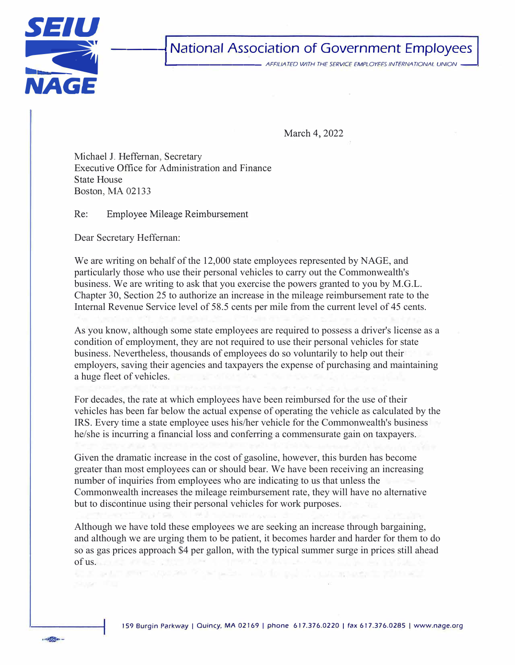

 $1780000$ 

## **National Association of Government Employees**

\_, \_\_\_\_\_\_\_\_ *AFFILIATED WITH THE SERVICE EMPLOYEES INTERNATIONAL UNION* -

March 4, 2022

Michael J. Heffernan, Secretary Executive Office for Administration and Finance State House Boston, MA 02133

Re: Employee Mileage Reimbursement

Dear Secretary Heffernan:

We are writing on behalf of the 12,000 state employees represented by NAGE, and particularly those who use their personal vehicles to carry out the Commonwealth's business. We are writing to ask that you exercise the powers granted to you by M.G.L. Chapter 30, Section 25 to authorize an increase in the mileage reimbursement rate to the Internal Revenue Service level of 58.5 cents per mile from the current level of 45 cents.

As you know, although some state employees are required to possess a driver's license as a condition of employment, they are not required to use their personal vehicles for state business. Nevertheless, thousands of employees do so voluntarily to help out their employers, saving their agencies and taxpayers the expense of purchasing and maintaining a huge fleet of vehicles.

For decades, the rate at which employees have been reimbursed for the use of their vehicles has been far below the actual expense of operating the vehicle as calculated by the IRS. Every time a state employee uses his/her vehicle for the Commonwealth's business he/she is incurring a financial loss and conferring a commensurate gain on taxpayers.

Given the dramatic increase in the cost of gasoline, however, this burden has become greater than most employees can or should bear. We have been receiving an increasing number of inquiries from employees who are indicating to us that unless the Commonwealth increases the mileage reimbursement rate, they will have no alternative but to discontinue using their personal vehicles for work purposes.

Although we have told these employees we are seeking an increase through bargaining, and although we are urging them to be patient, it becomes harder and harder for them to do so as gas prices approach \$4 per gallon, with the typical summer surge in prices still ahead of us.

points with the pair of contemporarily withing